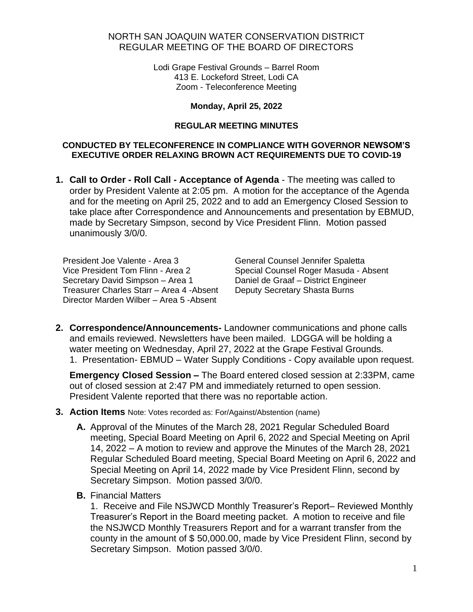## NORTH SAN JOAQUIN WATER CONSERVATION DISTRICT REGULAR MEETING OF THE BOARD OF DIRECTORS

Lodi Grape Festival Grounds – Barrel Room 413 E. Lockeford Street, Lodi CA Zoom - Teleconference Meeting

### **Monday, April 25, 2022**

#### **REGULAR MEETING MINUTES**

### **CONDUCTED BY TELECONFERENCE IN COMPLIANCE WITH GOVERNOR NEWSOM'S EXECUTIVE ORDER RELAXING BROWN ACT REQUIREMENTS DUE TO COVID-19**

**1. Call to Order - Roll Call - Acceptance of Agenda** - The meeting was called to order by President Valente at 2:05 pm. A motion for the acceptance of the Agenda and for the meeting on April 25, 2022 and to add an Emergency Closed Session to take place after Correspondence and Announcements and presentation by EBMUD, made by Secretary Simpson, second by Vice President Flinn. Motion passed unanimously 3/0/0.

President Joe Valente - Area 3 Vice President Tom Flinn - Area 2 Secretary David Simpson – Area 1 Treasurer Charles Starr – Area 4 -Absent Director Marden Wilber – Area 5 -Absent

General Counsel Jennifer Spaletta Special Counsel Roger Masuda - Absent Daniel de Graaf – District Engineer Deputy Secretary Shasta Burns

**2. Correspondence/Announcements-** Landowner communications and phone calls and emails reviewed. Newsletters have been mailed. LDGGA will be holding a water meeting on Wednesday, April 27, 2022 at the Grape Festival Grounds. 1. Presentation- EBMUD – Water Supply Conditions - Copy available upon request.

**Emergency Closed Session –** The Board entered closed session at 2:33PM, came out of closed session at 2:47 PM and immediately returned to open session. President Valente reported that there was no reportable action.

#### **3. Action Items** Note: Votes recorded as: For/Against/Abstention (name)

- **A.** Approval of the Minutes of the March 28, 2021 Regular Scheduled Board meeting, Special Board Meeting on April 6, 2022 and Special Meeting on April 14, 2022 – A motion to review and approve the Minutes of the March 28, 2021 Regular Scheduled Board meeting, Special Board Meeting on April 6, 2022 and Special Meeting on April 14, 2022 made by Vice President Flinn, second by Secretary Simpson. Motion passed 3/0/0.
- **B.** Financial Matters

1. Receive and File NSJWCD Monthly Treasurer's Report– Reviewed Monthly Treasurer's Report in the Board meeting packet. A motion to receive and file the NSJWCD Monthly Treasurers Report and for a warrant transfer from the county in the amount of \$ 50,000.00, made by Vice President Flinn, second by Secretary Simpson. Motion passed 3/0/0.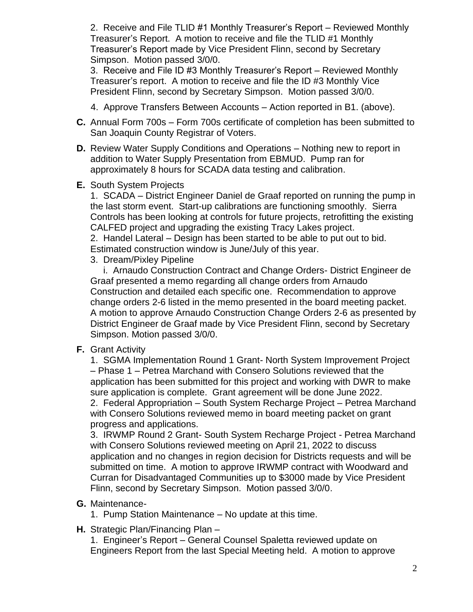2. Receive and File TLID #1 Monthly Treasurer's Report – Reviewed Monthly Treasurer's Report. A motion to receive and file the TLID #1 Monthly Treasurer's Report made by Vice President Flinn, second by Secretary Simpson. Motion passed 3/0/0.

3. Receive and File ID #3 Monthly Treasurer's Report – Reviewed Monthly Treasurer's report. A motion to receive and file the ID #3 Monthly Vice President Flinn, second by Secretary Simpson. Motion passed 3/0/0.

- 4. Approve Transfers Between Accounts Action reported in B1. (above).
- **C.** Annual Form 700s Form 700s certificate of completion has been submitted to San Joaquin County Registrar of Voters.
- **D.** Review Water Supply Conditions and Operations Nothing new to report in addition to Water Supply Presentation from EBMUD. Pump ran for approximately 8 hours for SCADA data testing and calibration.
- **E.** South System Projects

1. SCADA – District Engineer Daniel de Graaf reported on running the pump in the last storm event. Start-up calibrations are functioning smoothly. Sierra Controls has been looking at controls for future projects, retrofitting the existing CALFED project and upgrading the existing Tracy Lakes project.

2. Handel Lateral – Design has been started to be able to put out to bid. Estimated construction window is June/July of this year.

3. Dream/Pixley Pipeline

 i. Arnaudo Construction Contract and Change Orders- District Engineer de Graaf presented a memo regarding all change orders from Arnaudo Construction and detailed each specific one. Recommendation to approve change orders 2-6 listed in the memo presented in the board meeting packet. A motion to approve Arnaudo Construction Change Orders 2-6 as presented by District Engineer de Graaf made by Vice President Flinn, second by Secretary Simpson. Motion passed 3/0/0.

**F.** Grant Activity

1. SGMA Implementation Round 1 Grant- North System Improvement Project – Phase 1 – Petrea Marchand with Consero Solutions reviewed that the application has been submitted for this project and working with DWR to make sure application is complete. Grant agreement will be done June 2022. 2. Federal Appropriation – South System Recharge Project – Petrea Marchand with Consero Solutions reviewed memo in board meeting packet on grant progress and applications.

3. IRWMP Round 2 Grant- South System Recharge Project - Petrea Marchand with Consero Solutions reviewed meeting on April 21, 2022 to discuss application and no changes in region decision for Districts requests and will be submitted on time. A motion to approve IRWMP contract with Woodward and Curran for Disadvantaged Communities up to \$3000 made by Vice President Flinn, second by Secretary Simpson. Motion passed 3/0/0.

- **G.** Maintenance-
	- 1. Pump Station Maintenance No update at this time.
- **H.** Strategic Plan/Financing Plan –

1. Engineer's Report – General Counsel Spaletta reviewed update on Engineers Report from the last Special Meeting held. A motion to approve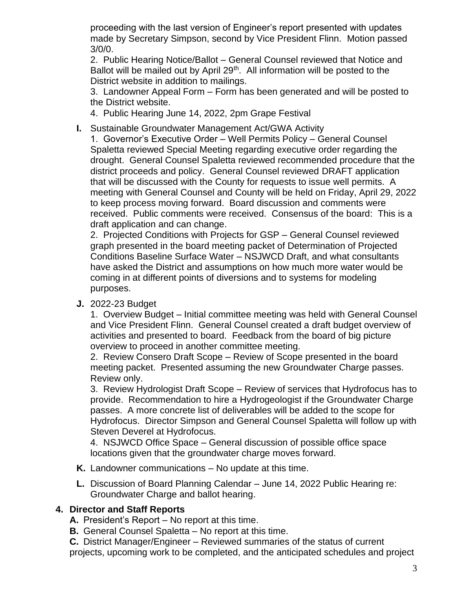proceeding with the last version of Engineer's report presented with updates made by Secretary Simpson, second by Vice President Flinn. Motion passed 3/0/0.

2. Public Hearing Notice/Ballot – General Counsel reviewed that Notice and Ballot will be mailed out by April 29<sup>th</sup>. All information will be posted to the District website in addition to mailings.

3. Landowner Appeal Form – Form has been generated and will be posted to the District website.

- 4. Public Hearing June 14, 2022, 2pm Grape Festival
- **I.** Sustainable Groundwater Management Act/GWA Activity

1. Governor's Executive Order – Well Permits Policy – General Counsel Spaletta reviewed Special Meeting regarding executive order regarding the drought. General Counsel Spaletta reviewed recommended procedure that the district proceeds and policy. General Counsel reviewed DRAFT application that will be discussed with the County for requests to issue well permits. A meeting with General Counsel and County will be held on Friday, April 29, 2022 to keep process moving forward. Board discussion and comments were received. Public comments were received. Consensus of the board: This is a draft application and can change.

2. Projected Conditions with Projects for GSP – General Counsel reviewed graph presented in the board meeting packet of Determination of Projected Conditions Baseline Surface Water – NSJWCD Draft, and what consultants have asked the District and assumptions on how much more water would be coming in at different points of diversions and to systems for modeling purposes.

**J.** 2022-23 Budget

1. Overview Budget – Initial committee meeting was held with General Counsel and Vice President Flinn. General Counsel created a draft budget overview of activities and presented to board. Feedback from the board of big picture overview to proceed in another committee meeting.

2. Review Consero Draft Scope – Review of Scope presented in the board meeting packet. Presented assuming the new Groundwater Charge passes. Review only.

3. Review Hydrologist Draft Scope – Review of services that Hydrofocus has to provide. Recommendation to hire a Hydrogeologist if the Groundwater Charge passes. A more concrete list of deliverables will be added to the scope for Hydrofocus. Director Simpson and General Counsel Spaletta will follow up with Steven Deverel at Hydrofocus.

4. NSJWCD Office Space – General discussion of possible office space locations given that the groundwater charge moves forward.

- **K.** Landowner communications No update at this time.
- **L.** Discussion of Board Planning Calendar June 14, 2022 Public Hearing re: Groundwater Charge and ballot hearing.

# **4. Director and Staff Reports**

- **A.** President's Report No report at this time.
- **B.** General Counsel Spaletta No report at this time.

**C.** District Manager/Engineer – Reviewed summaries of the status of current projects, upcoming work to be completed, and the anticipated schedules and project